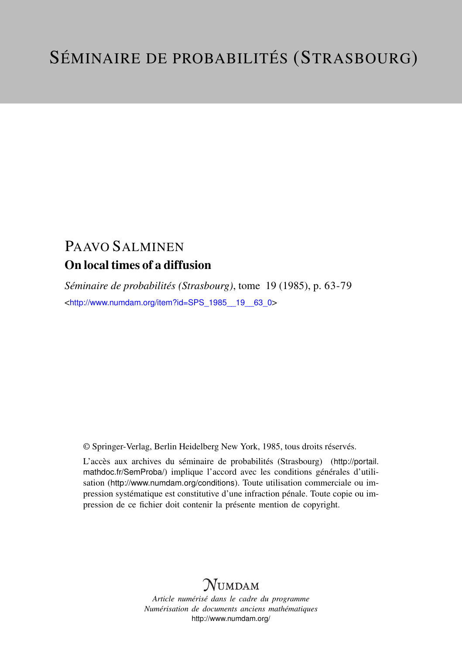# PAAVO SALMINEN On local times of a diffusion

*Séminaire de probabilités (Strasbourg)*, tome 19 (1985), p. 63-79 <[http://www.numdam.org/item?id=SPS\\_1985\\_\\_19\\_\\_63\\_0](http://www.numdam.org/item?id=SPS_1985__19__63_0)>

© Springer-Verlag, Berlin Heidelberg New York, 1985, tous droits réservés.

L'accès aux archives du séminaire de probabilités (Strasbourg) ([http://portail.](http://portail.mathdoc.fr/SemProba/) [mathdoc.fr/SemProba/](http://portail.mathdoc.fr/SemProba/)) implique l'accord avec les conditions générales d'utilisation (<http://www.numdam.org/conditions>). Toute utilisation commerciale ou impression systématique est constitutive d'une infraction pénale. Toute copie ou impression de ce fichier doit contenir la présente mention de copyright.

# **NUMDAM**

*Article numérisé dans le cadre du programme Numérisation de documents anciens mathématiques* <http://www.numdam.org/>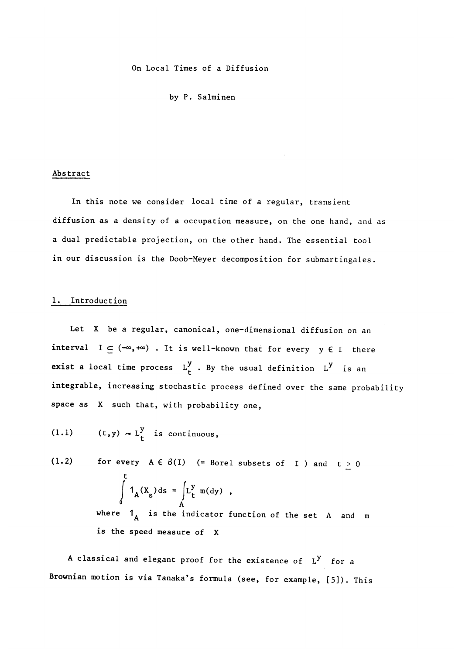On Local Times of a Diffusion

by P. Salminen

#### Abstract

In this note we consider local time of a regular, transient diffusion as a density of a occupation measure, on the one hand, and as a dual predictable projection, on the other hand. The essential tool in our discussion is the Doob-Meyer decomposition for submartingales.

#### 1. Introduction

Let X be a regular, canonical, one-dimensional diffusion on an interval  $I \subseteq (\infty, +\infty)$  . It is well-known that for every  $y \in I$  there exist a local time process  $L_t^y$ . By the usual definition  $L^y$  is an integrable, increasing stochastic process defined over the same probability space as X such that, with probability one,

$$
(1.1) \t(t,y) \sim L_t^y \t is continuous,
$$

(1.2) for every  $A \in B(I)$  (= Borel subsets of I ) and  $t \ge 0$ t  $\int_{0}^{1} A^{1} s^{2} s^{2}$   $\int_{A}^{L} t$ where  $1_A$  is the indicator function of the set A and m is the speed measure of X

A classical and elegant proof for the existence of  $L^y$  for a Brownian motion is via Tanaka's formula (see, for example, [5]). This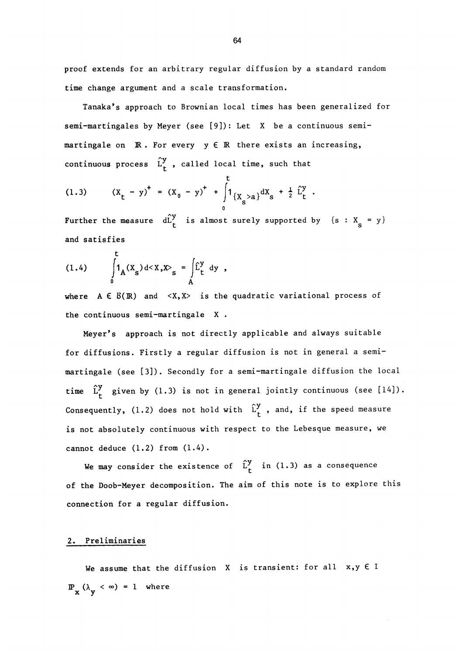proof extends for an arbitrary regular diffusion by a standard random time change argument and a scale transformation.

Tanaka's approach to Brownian local times has been generalized for semi-martingales by Meyer (see [9]): Let X be a continuous semimartingale on  $\mathbb R$ . For every  $y \in \mathbb R$  there exists an increasing, continuous process  $\hat{L}_t^y$ , called local time, such that

(1.3) 
$$
(X_t - y)^+ = (X_0 - y)^+ + \int_0^1 \{X_s > a\} dX_s + \frac{1}{2} \hat{L}_t^y
$$

Further the measure  $dL_t^y$  is almost surely supported by  $\{s : X_s = y\}$ and satisfies

(1.4) 
$$
\int_{0}^{t} 1_{A}(X_{s}) d < X, X >_{s} = \int_{A} \hat{L}_{t}^{y} dy,
$$

where  $A \in B(\mathbb{R})$  and  $\langle X, X \rangle$  is the quadratic variational process of the continuous semi-martingale X .

Meyer's approach is not directly applicable and always suitable for diffusions. Firstly a regular diffusion is not in general a semimartingale (see [3]). Secondly for a semi-martingale diffusion the local time  $\hat{L}_t^y$  given by (1.3) is not in general jointly continuous (see [14]). Consequently, (1.2) does not hold with  $\hat{L}_{t}^{y}$ , and, if the speed measure is not absolutely continuous with respect to the Lebesque measure, we cannot deduce (1.2) from (1.4).

We may consider the existence of  $\hat{L}_t^y$  in (1.3) as a consequence of the Doob-Meyer decomposition. The aim of this note is to explore this connection for a regular diffusion.

### 2. Preliminaries

We assume that the diffusion  $X$  is transient: for all  $x,y \in I$  $\mathbb{P}_{\mathbf{x}} (\lambda_{\mathbf{y}} < \infty) = 1$  where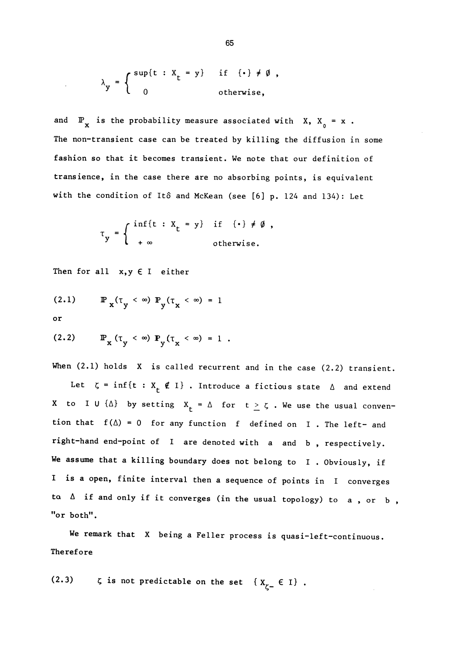$$
\lambda_{y} = \begin{cases} \sup\{t : X_{t} = y\} & \text{if } \{\cdot\} \neq \emptyset, \\ 0 & \text{otherwise,} \end{cases}
$$

and  $\mathbb{P}_x$  is the probability measure associated with X,  $X_0 = x$ . The non-transient case can be treated by killing the diffusion in some fashion so that it becomes transient. We note that our definition of transience, in the case there are no absorbing points, is equivalent with the condition of Itô and McKean (see [6] p. 124 and 134): Let

$$
\tau_y = \begin{cases} \inf\{t : X_t = y\} & \text{if } (\cdot) \neq \emptyset, \\ +\infty & \text{otherwise.} \end{cases}
$$

Then for all  $x, y \in I$  either

(2.1) IP x (03C4y ~) IPy(03C4x ~) = 1

or

(2.2) IPx (03C4y ~) Py(03C4x ~) = 1 .

When (2.1) holds X is called recurrent and in the case (2.2) transient.

Let  $\zeta = \inf\{t : X_t \notin I\}$ . Introduce a fictious state  $\Delta$  and extend X to I U  $\{\Delta\}$  by setting  $X_t = \Delta$  for  $t \ge \zeta$ . We use the usual convention that  $f(\Delta) = 0$  for any function f defined on I. The left- and right-hand end-point of I are denoted with a and b , respectively. We assume that a killing boundary does not belong to I. Obviously, if I is a open, finite interval then a sequence of points in I converges to  $\Delta$  if and only if it converges (in the usual topology) to a, or b, "or both".

We remark that X being a Feller process is quasi-left-continuous. Therefore

(2.3)  $\zeta$  is not predictable on the set  $\{X_{\zeta-}\in I\}$  .

65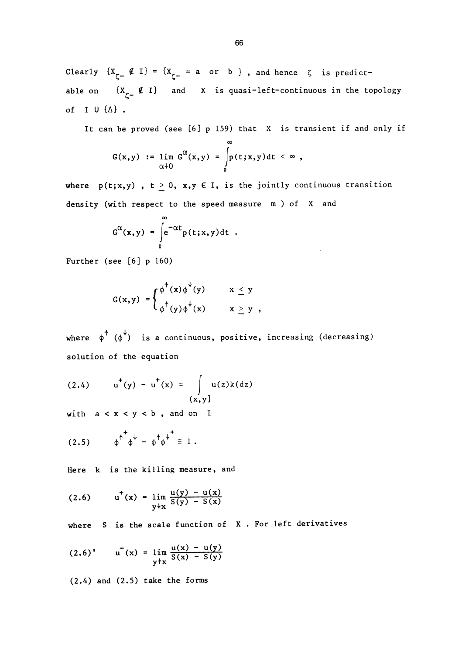Clearly  $\{X_{\zeta-} \notin I\} = \{X_{\zeta-} = a \text{ or } b\}$ , and hence  $\zeta$  is predictable on  $\{X_{\underset{c}{\sim}} \notin I\}$  and X is quasi-left-continuous in the topology of I U  $\{\Delta\}$ .

It can be proved (see [6] p 159) that X is transient if and only if

$$
G(x,y) := \lim_{\alpha \downarrow 0} G^{\alpha}(x,y) = \int_{0}^{\infty} p(t;x,y) dt < \infty,
$$

where  $p(t; x, y)$ ,  $t \geq 0$ ,  $x, y \in I$ , is the jointly continuous transition density (with respect to the speed measure m ) of X and

$$
G^{\alpha}(x,y) = \int_{0}^{\infty} e^{-\alpha t} p(t;x,y) dt.
$$

Further (see [6] p 160)

$$
G(x,y) = \begin{cases} \phi^{\dagger}(x) \phi^{\dagger}(y) & x \leq y \\ \phi^{\dagger}(y) \phi^{\dagger}(x) & x \geq y \end{cases}
$$

where  $\phi^{\uparrow}$  ( $\phi^{\downarrow}$ ) is a continuous, positive, increasing (decreasing) solution of the equation

(2.4) 
$$
u^+(y) - u^+(x) = \int_{(x,y]} u(z)k(dz)
$$

with  $a < x < y < b$ , and on I

$$
(2.5) \qquad \phi^{\uparrow} \phi^{\downarrow} - \phi^{\uparrow} \phi^{\downarrow} = 1.
$$

Here k is the killing measure, and

(2.6) 
$$
u^{+}(x) = \lim_{y \downarrow x} \frac{u(y) - u(x)}{S(y) - S(x)}
$$

where S is the scale function of X. For left derivatives

$$
(2.6)' \qquad u^-(x) = \lim_{y \uparrow x} \frac{u(x) - u(y)}{S(x) - S(y)}
$$

(2.4) and (2.5) take the forms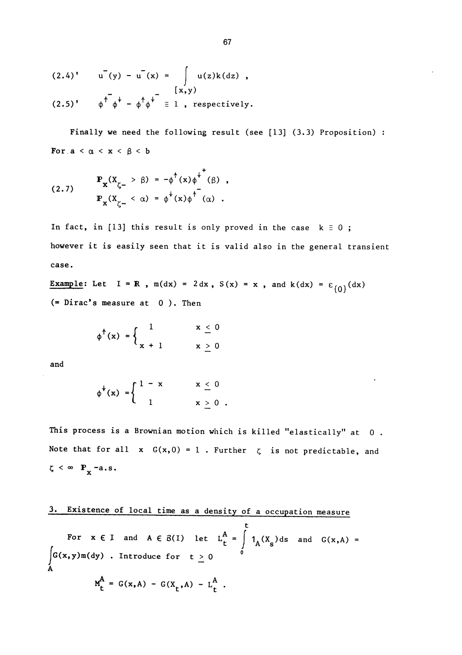$$
(2.4)' \t u'(y) - u'(x) = \int u(z)k(dz) ,
$$

$$
(2.5)^{\dagger} \qquad \phi^{\dagger} \phi^{\dagger} - \phi^{\dagger} \phi^{\dagger} \equiv 1 \text{ , respectively.}
$$

Finally we need the following result (see [13] (3.3) Proposition) : For  $a < \alpha < x < \beta < b$ 

(2.7) 
$$
\mathbf{F}_{\mathbf{x}}(X_{\zeta^{-}} > \beta) = -\phi^{\dagger}(x)\phi^{\dagger}(\beta),
$$

$$
\mathbf{F}_{\mathbf{x}}(X_{\zeta^{-}} < \alpha) = \phi^{\dagger}(x)\phi^{\dagger}(\alpha).
$$

In fact, in [13] this result is only proved in the case  $k \equiv 0$ ; however it is easily seen that it is valid also in the general transient case.

Example: Let  $I = \mathbb{R}$ ,  $m(dx) = 2 dx$ ,  $S(x) = x$ , and  $k(dx) = \varepsilon_{(0)}(dx)$ (= Dirac's measure at 0 ). Then

$$
\phi^{\dagger}(x) = \begin{cases} 1 & x \leq 0 \\ x + 1 & x \geq 0 \end{cases}
$$

and

$$
\phi^{\psi}(x) = \begin{cases} 1 - x & x \leq 0 \\ 1 & x > 0 \end{cases}
$$

This process is a Brownian motion which is killed "elastically" at 0. Note that for all  $x G(x,0) = 1$ . Further  $\zeta$  is not predictable, and  $\zeta \leq \infty$  P<sub>x</sub>-a.s.

# 3. Existence of local time as a density of a occupation measure

t and  $A \in B(I)$  let  $L_t^A = \int 1_A(X_s)ds$  and  $G(x,A) =$  $\int G(x,y)\,\mathfrak{m}(\mathrm{d}y)$  . Introduce for  $t \geq 0$ A  $M_t^A = G(x, A) - G(X_t, A) - L_t^A$ .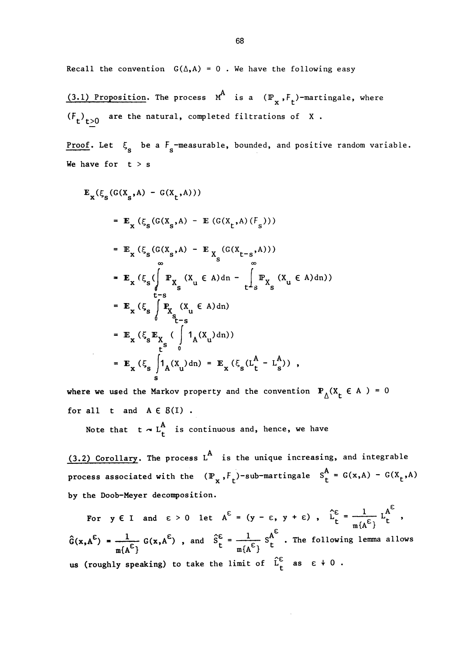Recall the convention  $G(\Delta, A) = 0$ . We have the following easy

(3.1) Proposition. The process  $M^A$  is a  $(\mathbb{P}_x, F_t)$ -martingale, where  $(F_t)_{t>0}$  are the natural, completed filtrations of X.

Proof. Let  $\xi_{\rm s}$  be a  $F_{\rm s}$ -measurable, bounded, and positive random variable. We have for  $t > s$ 

$$
\mathbf{E}_{\mathbf{x}}(\xi_{s}(G(\mathbf{X}_{s}, \mathbf{A}) - G(\mathbf{X}_{t}, \mathbf{A})))
$$
\n
$$
= \mathbf{E}_{\mathbf{x}}(\xi_{s}(G(\mathbf{X}_{s}, \mathbf{A}) - \mathbf{E}(G(\mathbf{X}_{t}, \mathbf{A})(\mathbf{F}_{s})))
$$
\n
$$
= \mathbf{E}_{\mathbf{x}}(\xi_{s}(G(\mathbf{X}_{s}, \mathbf{A}) - \mathbf{E}_{\mathbf{X}_{s}}(G(\mathbf{X}_{t-s}, \mathbf{A})))
$$
\n
$$
= \mathbf{E}_{\mathbf{x}}(\xi_{s}(\int_{\mathbf{t}-\mathbf{s}}^{\infty} \mathbf{P}_{\mathbf{X}_{s}}(\mathbf{X}_{u} \in \mathbf{A}) d\mathbf{n} - \int_{\mathbf{t}-\mathbf{s}}^{\infty} \mathbf{P}_{\mathbf{X}_{s}}(\mathbf{X}_{u} \in \mathbf{A}) d\mathbf{n})
$$
\n
$$
= \mathbf{E}_{\mathbf{x}}(\xi_{s} \int_{\mathbf{t}-\mathbf{s}}^{\infty} \mathbf{P}_{\mathbf{X}_{s}}(\mathbf{X}_{u} \in \mathbf{A}) d\mathbf{n})
$$
\n
$$
= \mathbf{E}_{\mathbf{x}}(\xi_{s} \mathbf{E}_{\mathbf{X}_{s}}(\int_{\mathbf{t}}^{\infty} \mathbf{1}_{\mathbf{A}}(\mathbf{X}_{u}) d\mathbf{n}))
$$
\n
$$
= \mathbf{E}_{\mathbf{x}}(\xi_{s} \int_{\mathbf{s}}^{\infty} \mathbf{1}_{\mathbf{A}}(\mathbf{X}_{u}) d\mathbf{n}) = \mathbf{E}_{\mathbf{x}}(\xi_{s}(\mathbf{L}_{t}^{\mathbf{A}} - \mathbf{L}_{s}^{\mathbf{A}}))
$$

where we used the Markov property and the convention  $P_A(X_t \in A) = 0$ for all  $t$  and  $A \in B(I)$ .

Note that  $t \sim L_t^A$  is continuous and, hence, we have

 $(3.2)$  Corollary. The process L<sup>A</sup> is the unique increasing, and integrable process associated with the  $(\mathbb{P}_x, F_t)$ -sub-martingale  $S_t^A = G(x,A) - G(X_t,A)$ by the Doob-Meyer decomposition.

For  $y \in I$  and  $\varepsilon > 0$  let  $A^{\varepsilon} = (y - \varepsilon, y + \varepsilon)$ ,  $\hat{L}_{t}^{\varepsilon} = \frac{1}{m f_{A} \varepsilon_1} L_{t}^{A^{\varepsilon}}$ ,  $\hat{G}(x, A^{\epsilon}) = \frac{1}{m{A^{\epsilon}}^{\epsilon}} G(x, A^{\epsilon})$ , and  $\hat{S}_{t}^{\epsilon} = \frac{1}{m{A^{\epsilon}}^{\epsilon}} S_{t}^{A^{\epsilon}}$ . The following lemma allows us (roughly speaking) to take the limit of  $\hat{L}_t^{\epsilon}$  as  $\epsilon \neq 0$ .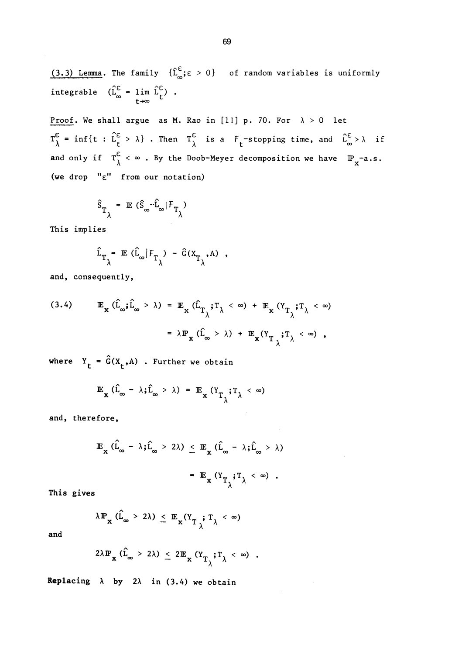(3.3) Lemma. The family  $\{ \hat{L}_{\infty}^{\epsilon} \} \epsilon > 0$  of random variables is uniformly integrable  $(\hat{L}_{\infty}^{\epsilon} = 1 \text{im } \hat{L}_{\epsilon}^{\epsilon})$  . t~~

Proof. We shall argue as M. Rao in [11] p. 70. For  $\lambda > 0$  let  $T_{\lambda}^{\epsilon}$  = inf{t :  $L_{t}^{\epsilon} > \lambda$ }. Then  $T_{\lambda}^{\epsilon}$  is a  $F_{t}$ -stopping time, and  $\hat{L}_{\infty}^{\epsilon} > \lambda$  i and only if  $T_{\lambda}^{\epsilon} < \infty$ . By the Doob-Meyer decomposition we have  $\mathbb{P}_{x}$ -a.s. (we drop "e" from our notation)

$$
\hat{\mathbf{s}}_{\mathrm{T}_{\lambda}} = \mathbb{E} (\hat{\mathbf{s}}_{\infty} \cdot \hat{\mathbf{L}}_{\infty} | \mathbf{F}_{\mathrm{T}_{\lambda}})
$$

This implies

$$
\hat{L}_{T_{\lambda}} = \mathbb{E} (\hat{L}_{\infty} | F_{T_{\lambda}}) - \hat{G}(X_{T_{\lambda}}, A) ,
$$

and, consequently,

(3.4) 
$$
\mathbb{E}_{\mathbf{x}} (\hat{\mathbf{L}}_{\infty} ; \hat{\mathbf{L}}_{\infty} > \lambda) = \mathbb{E}_{\mathbf{x}} (\hat{\mathbf{L}}_{T_{\lambda}} ; T_{\lambda} < \infty) + \mathbb{E}_{\mathbf{x}} (Y_{T_{\lambda}} ; T_{\lambda} < \infty)
$$

$$
= \lambda \mathbb{P}_{\mathbf{x}} (\hat{\mathbf{L}}_{\infty} > \lambda) + \mathbb{E}_{\mathbf{x}} (Y_{T_{\lambda}} ; T_{\lambda} < \infty),
$$

where  $Y_t = \hat{G}(X_t, A)$ . Further we obtain

$$
\mathbb{E}_{\mathbf{x}} (\hat{\mathbf{L}}_{\infty} - \lambda \mathbf{j} \hat{\mathbf{L}}_{\infty} > \lambda) = \mathbb{E}_{\mathbf{x}} (\mathbf{Y}_{T_{\lambda}} \mathbf{j} \mathbf{T}_{\lambda} < \infty)
$$

and, therefore,

$$
\mathbb{E}_{\mathbf{x}} (\hat{\mathbf{L}}_{\infty} - \lambda \hat{\mathbf{x}} \hat{\mathbf{L}}_{\infty} > 2\lambda) \leq \mathbb{E}_{\mathbf{x}} (\hat{\mathbf{L}}_{\infty} - \lambda \hat{\mathbf{x}} \hat{\mathbf{L}}_{\infty} > \lambda)
$$

$$
= \mathbb{E}_{\mathbf{x}} (\mathbf{Y}_{T_{\lambda}} \hat{\mathbf{x}} \mathbf{T}_{\lambda} < \infty) .
$$

This gives

$$
\lambda \mathbb{P}_{\mathbf{x}} \left( \hat{\mathbf{L}}_{\infty} > 2\lambda \right) \leq \mathbb{E}_{\mathbf{x}} (\mathbf{Y}_{T_{\lambda}}; \mathbf{T}_{\lambda} < \infty)
$$

and

$$
2\lambda \mathbb{P}_{\mathbf{x}} (\hat{\mathbf{L}}_{\infty} > 2\lambda) \leq 2 \mathbb{E}_{\mathbf{x}} (\mathbf{Y}_{T_{\lambda}}; \mathbf{T}_{\lambda} < \infty) .
$$

Replacing  $\lambda$  by 2 $\lambda$  in (3.4) we obtain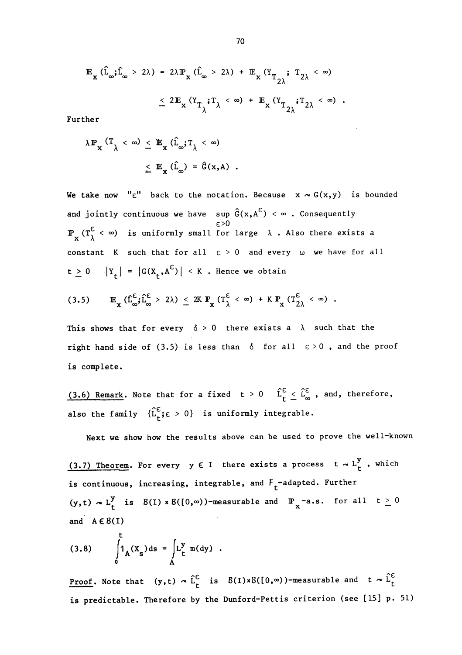$$
\mathbb{E}_{\mathbf{x}} (\hat{\mathbf{L}}_{\infty}; \hat{\mathbf{L}}_{\infty} > 2\lambda) = 2\lambda \mathbb{P}_{\mathbf{x}} (\hat{\mathbf{L}}_{\infty} > 2\lambda) + \mathbb{E}_{\mathbf{x}} (\mathbf{Y}_{T_{2\lambda}}; \mathbf{T}_{2\lambda} < \infty)
$$
  

$$
\leq 2 \mathbb{E}_{\mathbf{x}} (\mathbf{Y}_{T_{\lambda}}; \mathbf{T}_{\lambda} < \infty) + \mathbb{E}_{\mathbf{x}} (\mathbf{Y}_{T_{2\lambda}}; \mathbf{T}_{2\lambda} < \infty).
$$

Further

$$
\lambda \mathbb{P}_{\mathbf{x}} \left( \mathbb{T}_{\lambda} < \infty \right) \leq \mathbb{E}_{\mathbf{x}} \left( \hat{\mathbf{L}}_{\infty} ; \mathbb{T}_{\lambda} < \infty \right)
$$
\n
$$
\leq \mathbb{E}_{\mathbf{x}} \left( \hat{\mathbf{L}}_{\infty} \right) = \hat{\mathbf{G}}(\mathbf{x}, \mathbf{A})
$$

We take now " $\varepsilon$ " back to the notation. Because  $x \sim G(x,y)$  is bounded and jointly continuous we have sup  $\hat{G}(x, A^{\epsilon}) < \infty$  . Consequently  $\frac{\varepsilon}{\lambda}$  < ∞) is uniformly small for large  $\lambda$  . Also there exists a constant K such that for all  $\varepsilon > 0$  and every  $\omega$  we have for all  $t \ge 0$   $|\Upsilon_t| = |G(X_t, A^{\epsilon})| < K$ . Hence we obtain

$$
(3.5) \qquad \mathbb{E}_{\mathbf{x}} \left( \hat{\mathbf{L}}_{\infty}^{\epsilon} ; \hat{\mathbf{L}}_{\infty}^{\epsilon} > 2\lambda \right) \leq 2K \; \mathbb{P}_{\mathbf{x}} \left( \mathbf{T}_{\lambda}^{\epsilon} < \infty \right) \; + \; K \; \mathbb{P}_{\mathbf{x}} \left( \mathbf{T}_{2\lambda}^{\epsilon} < \infty \right) \; .
$$

This shows that for every  $\delta > 0$  there exists a  $\lambda$  such that the right hand side of (3.5) is less than  $\delta$  for all  $\epsilon > 0$ , and the proof is complete.

(3.6) Remark. Note that for a fixed  $t > 0$   $\hat{L}_t^{\epsilon} \leq \hat{L}_{\infty}^{\epsilon}$ , and, therefore, also the family  $\{\hat{L}_+^{\varepsilon} \in 0\}$  is uniformly integrable.

Next we show how the results above can be used to prove the well-known

(3.7) Theorem. For every  $y \in I$  there exists a process  $t \sim L_t^y$ , which is continuous, increasing, integrable, and  $F_t^-$ -adapted. Further  $(y,t) \sim L_t^y$  is  $B(I) \times B([0,\infty))$ -measurable and  $\mathbb{P}_x$ -a.s. for all  $t \geq 0$ and  $A \in B(I)$ 

(3.8) 
$$
\int_{0}^{t} 1_{A}(X_{s}) ds = \int_{A} L_{t}^{y} m(dy) .
$$

**Proof.** Note that  $(y,t) \sim \hat{L}_t^{\epsilon}$  is  $B(I) \times B([0,\infty))$ -measurable and t  $\sim \hat{L}_t^{\epsilon}$ is predictable. Therefore by the Dunford-Pettis criterion (see [15] p. 51)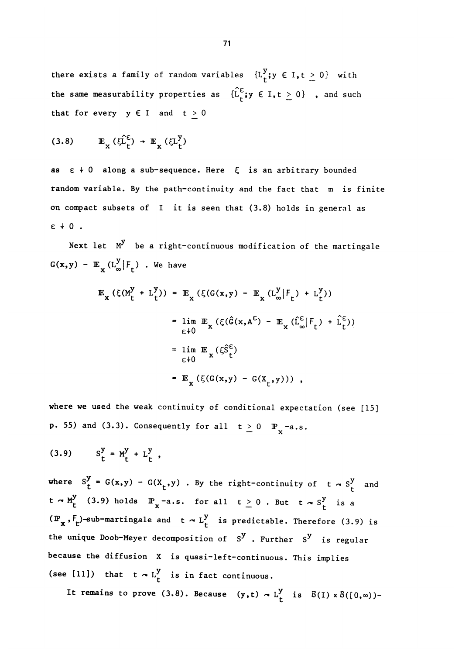there exists a family of random variables  $\{L_t^y; y \in I, t \geq 0\}$  with the same measurability properties as  $\{\hat{L}_f^{\epsilon}\}\text{y} \in I, t \geq 0\}$ , and such that for every  $y \in I$  and  $t \ge 0$ 

$$
(3.8) \qquad \mathbb{E}_{\mathbf{x}}\,(\xi \hat{\mathbf{L}}_{\mathbf{t}}^{\mathsf{E}}) \,\,\rightarrow\,\, \mathbb{E}_{\mathbf{x}}\,(\xi \mathbf{L}_{\mathbf{t}}^{\mathbf{y}})
$$

as  $\epsilon \neq 0$  along a sub-sequence. Here  $\xi$  is an arbitrary bounded random variable. By the path-continuity and the fact that m is finite on compact subsets of  $I$  it is seen that  $(3.8)$  holds in general as  $\varepsilon + 0$ .

Next let  $M<sup>y</sup>$  be a right-continuous modification of the martingale  $G(x,y)$  -  $\mathbb{E}_x(L_\infty^y|F_t)$  . We have

$$
\mathbb{E}_{\mathbf{x}} (\xi(M_{t}^{y} + L_{t}^{y})) = \mathbb{E}_{\mathbf{x}} (\xi(G(\mathbf{x}, y) - \mathbb{E}_{\mathbf{x}} (L_{\infty}^{y} | F_{t}) + L_{t}^{y}))
$$
\n
$$
= \lim_{\varepsilon \to 0} \mathbb{E}_{\mathbf{x}} (\xi(\hat{G}(\mathbf{x}, A^{\varepsilon}) - \mathbb{E}_{\mathbf{x}} (\hat{L}_{\infty}^{\varepsilon} | F_{t}) + \hat{L}_{t}^{\varepsilon}))
$$
\n
$$
= \lim_{\varepsilon \to 0} \mathbb{E}_{\mathbf{x}} (\xi \hat{S}_{t}^{\varepsilon})
$$
\n
$$
= \mathbb{E}_{\mathbf{x}} (\xi(G(\mathbf{x}, y) - G(\mathbf{x}_{t}, y))) ,
$$

where we used the weak continuity of conditional expectation (see  $[15]$ **p.** 55) and (3.3). Consequently for all  $t \ge 0$   $\mathbb{P}_{x}$ -a.s.

$$
(3.9) \tS_{t}^{y} = M_{t}^{y} + L_{t}^{y} ,
$$

where  $S_t^y = G(x,y) - G(X_t, y)$ . By the right-continuity of  $t \sim S_t^y$  and  $t \sim M_t^y$  (3.9) holds  $\mathbb{P}_x$ -a.s. for all  $t \ge 0$ . But  $t \sim S_t^y$  is a  $(\mathbb{P}_{\mathbf{x}}, F_{\mathbf{t}})$ -sub-martingale and  $\mathbf{t} \sim L_{\mathbf{t}}^{\mathbf{y}}$  is predictable. Therefore (3.9) is the unique Doob-Meyer decomposition of  $S^y$ . Further  $S^y$  is regular because the diffusion X is quasi-left-continuous. This implies (see [11]) that  $t \sim L_t^y$  is in fact continuous.

It remains to prove (3.8). Because (y,t)  $\sim L_t^y$  is  $B(I) \times B([0,\infty))$ -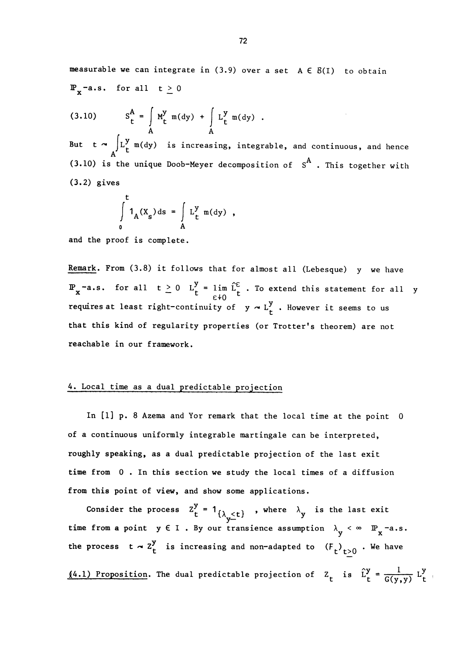measurable we can integrate in  $(3.9)$  over a set  $A \in B(I)$  to obtain  $\mathbb{P}_{x}$ -a.s. for all  $t \geq 0$ 

(3.10) 
$$
S_t^A = \int_A M_t^y m(dy) + \int_A L_t^y m(dy)
$$
.

But t  $\sim$   $\bigcup_{\tau}^{J}$  m(dy) is increasing, integrable, and continuous, and hence (3.10) is the unique Doob-Meyer decomposition of  $S^A$ . This together with (3.2) gives

$$
\int_{0}^{t} 1_{A}(X_{s}) ds = \int_{A} L_{t}^{y} m(dy) ,
$$

and the proof is complete.

Remark. From (3.8) it follows that for almost all (Lebesque) y we have  $f(x) = \begin{cases} \n\text{for all} & t \geq 0 \\ \n\text{if} & t \leq \frac{1}{t} \n\end{cases}$  . To extend this statement for all y requires at least right-continuity of  $y \sim L_t^y$ . However it seems to us that this kind of regularity properties (or Trotter's theorem) are not reachable in our framework.

## 4. Local time as a dual predictable projection

In [1] p. 8 Azema and Yor remark that the local time at the point 0 of a continuous uniformly integrable martingale can be interpreted, roughly speaking, as a dual predictable projection of the last exit time from 0. In this section we study the local times of a diffusion from this point of view, and show some applications.

Consider the process  $Z_t^y = 1_{\{\lambda_{y} \le t\}}$ , where  $\lambda_y$  is the last exit time from a point  $y \in I$ . By our transience assumption  $\lambda_y < \infty$   $\mathbb{P}_x$ -a.s. the process  $t \sim z_t^y$  is increasing and non-adapted to  $(F_t)_{t>0}$  . We have  $(4.1)$  Proposition. The dual predictable projection of  $Z_t$  is  $\hat{L}_t^y = \frac{1}{G(v, v)} L_t^y$ .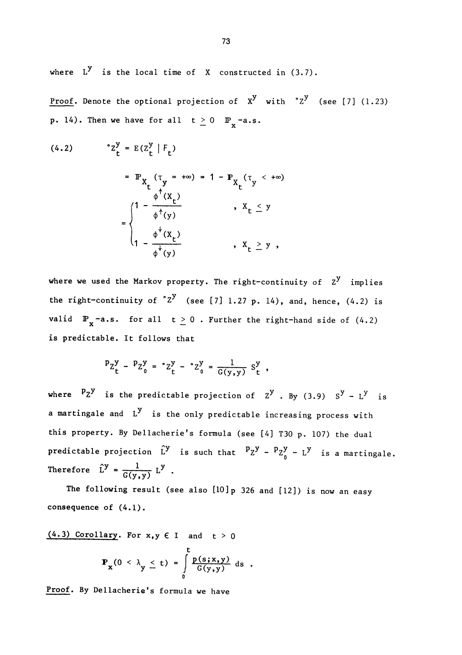where  $L^y$  is the local time of X constructed in  $(3.7)$ .

Proof. Denote the optional projection of  $X^y$  with  ${}^{\circ}Z^y$  (see [7] (1.23) **p.** 14). Then we have for all  $t \ge 0$   $\mathbb{P}_x$ -a.s.

(4.2)  $\degree$   $Z_{\perp}^{\text{y}} = E(Z_{\perp}^{\text{y}} | F_{\perp})$  $(\tau_y = +\infty) = 1 - P_{X_t} (\tau_y <$  $(1 - \frac{c}{\pi^2 (x)})$ ,  $X_t \leq y$  $1 - \frac{1}{\phi^{\dagger}(y)}$  ,

where we used the Markov property. The right-continuity of  $Z^y$  implies the right-continuity of  $z^y$  (see [7] 1.27 p. 14), and, hence, (4.2) is valid  $\mathbb{P}_{x}$ -a.s. for all  $t \geq 0$ . Further the right-hand side of (4.2) is predictable. It follows that

$$
P_Z^y - P_Z^y = 'Z_t^y - 'Z_0^y = \frac{1}{G(y,y)} S_t^y,
$$

where  $P_Z$ <sup>y</sup> is the predictable projection of  $Z$ <sup>y</sup>. By (3.9)  $S$ <sup>y</sup> - L<sup>y</sup> is a martingale and  $L^y$  is the only predictable increasing process with this property. By Dellacherie's formula (see [4] T30 p. 107) the dual predictable projection  $\hat{L}^y$  is such that  $P_Z^y - P_Z^y - L^y$  is a martingale. Therefore  $\hat{L}^y = \frac{1}{G(y, y)} L^y$ .

The following result (see also [10]p 326 and [12]) is now an easy consequence of (4.1).

 $(4.3)$  Corollary. For x, y  $\in$  I and  $t > 0$ t  $\begin{array}{ccc} -x^{\prime} & y & -y \\ -x^{\prime} & y & -y \end{array}$  (g(y,y)  $\begin{array}{ccc} -x^{\prime} & -y & -y \\ -y & -y & -y \end{array}$ 0

Proof. By Dellacherie's formula we have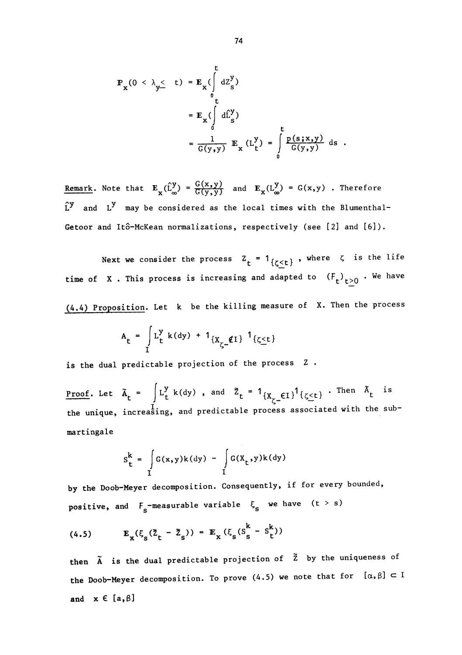$$
\mathbb{P}_{\mathbf{x}}(0 < \lambda_{\mathbf{y}} \leq t) = \mathbb{E}_{\mathbf{x}} \left( \int_{0}^{t} dZ_{\mathbf{s}}^{y} \right)
$$
\n
$$
= \mathbb{E}_{\mathbf{x}} \left( \int_{0}^{t} d\hat{L}_{\mathbf{s}}^{y} \right)
$$
\n
$$
= \frac{1}{G(y, y)} \mathbb{E}_{\mathbf{x}} (L_{t}^{y}) = \int_{0}^{t} \frac{p(s, x, y)}{G(y, y)} ds.
$$

Remark. Note that  $E_x(\hat{L}_{\infty}^y) = \frac{G(x,y)}{G(y,y)}$  and  $E_x(L_{\infty}^y) = G(x,y)$ . Therefore  $\hat{L}^{y}$  and  $L^{y}$  may be considered as the local times with the Blumenthal-Getoor and Itô-McKean normalizations, respectively (see [2] and [6]).

Next we consider the process  $Z_t = 1_{\{\zeta \le t\}}$ , where  $\zeta$  is the life time of X. This process is increasing and adapted to  $(F_t)_{t\geq 0}$ . We have (4.4) Proposition. Let k be the killing measure of X. Then the process

$$
A_{t} = \int_{I} L_{t}^{y} k(dy) + 1_{\{X_{\zeta} = \ell I\}} 1_{\{\zeta \le t\}}
$$

is the dual predictable projection of the process Z.

<u>Proof</u>. Let  $\tilde{A}_t = \int L_t^y k(dy)$ , and  $\tilde{Z}_t = 1_{\{X_{\tilde{C}} \in L\}} 1_{\{\zeta \le t\}}$ . Then  $\tilde{A}_t$  is the unique, increasing, and predictable process associated with the submartingale

$$
S_{t}^{k} = \int_{I} G(x,y)k(dy) - \int_{I} G(X_{t},y)k(dy)
$$

by the Doob-Meyer decomposition. Consequently, if for every bounded, positive, and  $F_s$ -measurable variable  $\xi_s$  we have (t > s)

(4.5) 
$$
E_{x}(\xi_{s}(\tilde{Z}_{t} - \tilde{Z}_{s})) = E_{x}(\xi_{s}(S_{s}^{k} - S_{t}^{k}))
$$

then  $\tilde{A}$  is the dual predictable projection of  $\tilde{Z}$  by the uniqueness of the Doob-Meyer decomposition. To prove (4.5) we note that for  $[\alpha, \beta] \subset I$ and  $x \in [a, \beta]$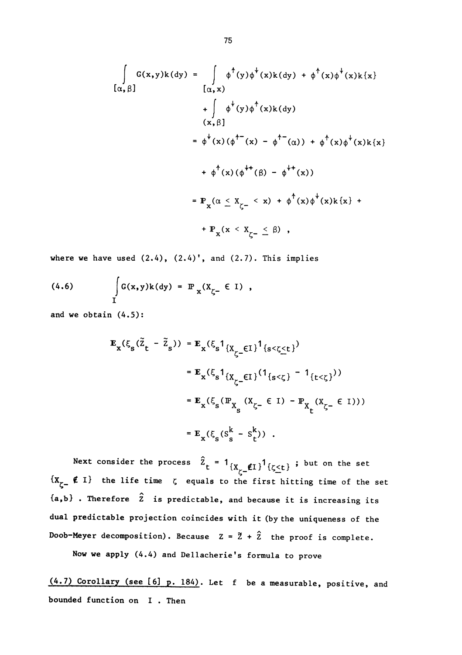$$
\int_{\alpha,\beta} G(x,y)k(dy) = \int_{\alpha,x} \phi^+(y)\phi^+(x)k(dy) + \phi^+(x)\phi^+(x)k\{x\}
$$
  
+ 
$$
\int_{(x,\beta)} \phi^+(y)\phi^+(x)k(dy)
$$
  

$$
= \phi^+(x)(\phi^{+-}(x) - \phi^{+-}(\alpha)) + \phi^+(x)\phi^+(x)k\{x\}
$$
  
+ 
$$
\phi^+(x)(\phi^{++}(\beta) - \phi^{++}(x))
$$
  
= 
$$
\mathbb{P}_x(\alpha \leq x_{\zeta^-} < x) + \phi^+(x)\phi^+(x)k\{x\} + \mathbb{P}_x(x < x_{\zeta^-} \leq \beta),
$$

where we have used  $(2.4)$ ,  $(2.4)'$ , and  $(2.7)$ . This implies

(4.6) 
$$
\int_{I} G(x,y)k(dy) = \mathbb{P}_{x}(X_{\zeta^{-}} \in I),
$$

and we obtain (4.5):

$$
\mathbf{E}_{\mathbf{x}}(\xi_{s}(\tilde{z}_{t} - \tilde{z}_{s})) = \mathbf{E}_{\mathbf{x}}(\xi_{s}1_{\{X_{\zeta} = \mathbf{E1}\}}1_{\{s < \zeta \leq t\}})
$$
  
\n
$$
= \mathbf{E}_{\mathbf{x}}(\xi_{s}1_{\{X_{\zeta} = \mathbf{E1}\}}(1_{\{s < \zeta\}} - 1_{\{t < \zeta\}}))
$$
  
\n
$$
= \mathbf{E}_{\mathbf{x}}(\xi_{s}(\mathbb{P}_{X_{s}}(X_{\zeta} = \mathbf{E1}) - \mathbb{P}_{X_{t}}(X_{\zeta} = \mathbf{E1})))
$$
  
\n
$$
= \mathbf{E}_{\mathbf{x}}(\xi_{s}(s_{s}^{k} - s_{t}^{k})) .
$$

Next consider the process  $\bar{Z}_{\texttt{t}}$  = 1 $\{X_{\texttt{x}}\_\texttt{f1}\}$ 1 $\{\zeta<\texttt{t}\}$  ; but on the set  $\{x_{z-} \notin I\}$  the life time  $\zeta$  equals to the first hitting time of the set  ${a, b}$ . Therefore  $\hat{z}$  is predictable, and because it is increasing its dual predictable projection coincides with it (by the uniqueness of the Doob-Meyer decomposition). Because  $Z = \tilde{Z} + \hat{Z}$  the proof is complete.

Now we apply (4.4) and Dellacherie's formula to prove

(4.7) Corollary (see [6] p. 184). Let f be a measurable, positive, and bounded function on I . Then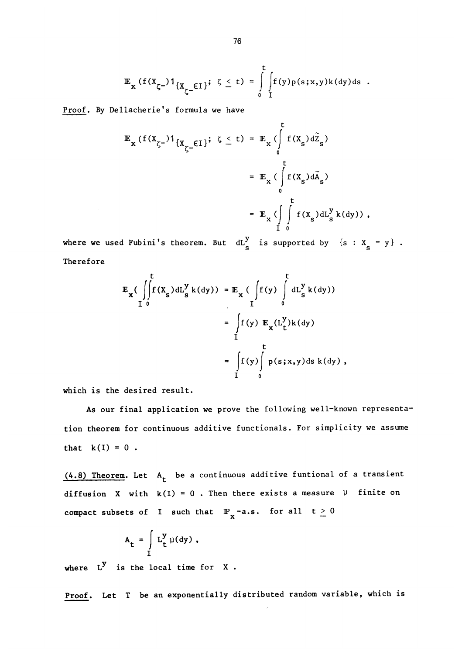$$
\mathbb{E}_{\mathbf{x}}(f(X_{\zeta^{-}})1_{\{X_{\zeta^{-}}\in\mathbb{I}\}}; \zeta \leq t) = \int_{0}^{t} \int_{\mathbb{I}} f(y) p(s; x, y) k(dy) ds.
$$

Proof. By Dellacherie's formula we have

$$
\mathbb{E}_{\mathbf{x}}(f(X_{\zeta^{-}})1_{\{X_{\zeta^{-}}\in\mathcal{I}\}}; \zeta \leq t) = \mathbb{E}_{\mathbf{x}}(\int_{0}^{t} f(X_{s})d\tilde{\zeta}_{s})
$$
\n
$$
= \mathbb{E}_{\mathbf{x}}(\int_{0}^{t} f(X_{s})d\tilde{\zeta}_{s})
$$
\n
$$
= \mathbb{E}_{\mathbf{x}}(\int_{0}^{t} f(X_{s})d\zeta_{s}^{y}k(dy)),
$$

where we used Fubini's theorem. But  $dL_S^y$  is supported by  $\{s : X_s = y\}$ . Therefore

$$
\mathbf{E}_{\mathbf{x}}\left(\int_{I}^{t}f(X_{s})dL_{s}^{y}k(dy)\right) = \mathbf{E}_{\mathbf{x}}\left(\int_{I}^{t}f(y)\int_{0}^{t}dL_{s}^{y}k(dy)\right)
$$
\n
$$
= \int_{I}^{t}f(y)\mathbf{E}_{\mathbf{x}}(L_{t}^{y})k(dy)
$$
\n
$$
= \int_{I}^{t}f(y)\int_{0}^{t}p(s;x,y)ds k(dy),
$$

which is the desired result.

As our final application we prove the following well-known representation theorem for continuous additive functionals. For simplicity we assume that  $k(I) = 0$ .

 $(4.8)$  Theorem. Let  $A_t$  be a continuous additive funtional of a transient diffusion X with  $k(I) = 0$ . Then there exists a measure  $\mu$  finite on compact subsets of I such that  $\mathbb{P}_{x}$ -a.s. for all  $t \ge 0$ 

$$
A_t = \int_I L_t^y \mu(dy) ,
$$

where  $L^y$  is the local time for  $X$ .

proof. Let T be an exponentially distributed random variable, which is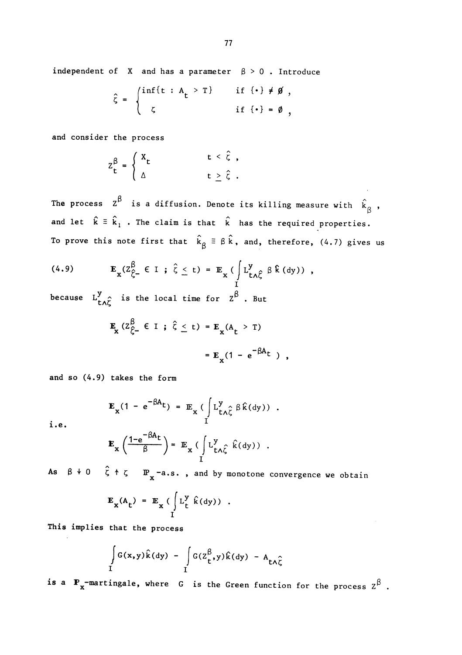independent of X and has a parameter  $\beta > 0$ . Introduce

$$
\hat{\zeta} = \begin{cases} \inf\{t : A_t > T\} & \text{if } \{\cdot\} \neq \emptyset, \\ \zeta & \text{if } \{\cdot\} = \emptyset, \end{cases}
$$

and consider the process

$$
Z_{t}^{\beta} = \begin{cases} X_{t} & t < \hat{\zeta} , \\ \Delta & t \geq \hat{\zeta} . \end{cases}
$$

The process  $z^{\beta}$  is a diffusion. Denote its killing measure with  $\hat{k}_{\beta}$ , and let  $\hat{k} = \hat{k}_1$ . The claim is that  $\hat{k}$  has the required properties. To prove this note first that  $\hat{k}_{\beta} \equiv \beta \hat{k}$ , and, therefore, (4.7) gives us

(4.9) 
$$
\mathbf{E}_{\mathbf{x}}(Z_{\hat{\zeta}^{-}}^{\beta} \in I \; ; \; \hat{\zeta} \leq t) = \mathbb{E}_{\mathbf{x}} \left( \int_{I}^{y} L_{t \wedge \hat{\zeta}}^{y} \beta \, \hat{k} \, (dy) \right) ,
$$

because  $L_{t\wedge \widehat{\zeta}}^y$  is the local time for  $Z^{\widehat{\beta}}$ . But

$$
\mathbf{E}_{\mathbf{x}} (z_{\zeta}^{\beta} \in I \; ; \; \hat{\zeta} \leq t) = \mathbf{E}_{\mathbf{x}} (A_{t} > T)
$$

$$
= \mathbf{E}_{\mathbf{x}} (1 - e^{-\beta A_{t}}),
$$

and so (4.9) takes the form

$$
\mathbf{E}_{\mathbf{x}}(1 - e^{-\beta A}t) = \mathbf{E}_{\mathbf{x}} \left( \int_{I} L_{t \wedge \hat{\zeta}}^{y} \beta \hat{k}(dy) \right)
$$

i.e.

$$
\mathbf{E}_{\mathbf{x}}\left(\frac{1-\mathbf{e}^{-\beta A_{\mathbf{t}}}}{\beta}\right) = \mathbf{E}_{\mathbf{x}}\left(\int_{I} L_{\mathbf{t}\wedge\hat{\zeta}}^{y} \hat{k}(\mathrm{d}y)\right).
$$

As  $\beta\,+\,0\quad$   $\zeta\,+\,\zeta\,$   $\quad$   $\mathbb{P}_{_{\mathbf{X}}}$ -a.s. , and by monotone convergence we obtain

$$
\mathbf{E}_{\mathbf{x}}(A_{t}) = \mathbf{E}_{\mathbf{x}} \left( \int_{I} L_{t}^{y} \hat{k}(dy) \right)
$$

This implies that the process

$$
\int_{I} G(x,y)\hat{k}(dy) - \int_{I} G(Z_{t}^{\beta},y)\hat{k}(dy) - A_{t\Lambda\hat{\zeta}}
$$

is a  $P_x$ -martingale, where G is the Green function for the process  $Z^{\beta}$ .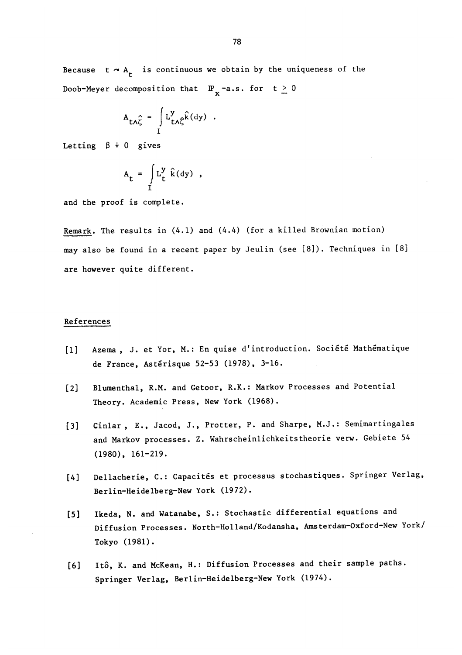Because  $t \sim A_t$  is continuous we obtain by the uniqueness of the Doob-Meyer decomposition that  $\mathbb{P}_{\mathbf{y}}$ -a.s. for  $t \ge 0$ 

$$
A_{t\Lambda\hat{\zeta}} = \int_{I} L_{t\Lambda\hat{\zeta}}^{y} \hat{k}(dy) .
$$

Letting  $\beta + 0$  gives

$$
A_t = \int\limits_I L_t^y \hat{k}(dy) ,
$$

and the proof is complete.

Remark. The results in (4.1) and (4.4) (for a killed Brownian motion) may also be found in a recent paper by Jeulin (see [8]). Techniques in [8] are however quite different.

### References

- [1] Azema , J. et Yor, M.: En quise d'introduction. Société Mathématique de France, Astérisque 52-53 (1978), 3-16.
- [2] Blumenthal, R.M. and Getoor, R.K.: Markov Processes and Potential Theory. Academic Press, New York (1968).
- [3] Cinlar , E., Jacod, J., Protter, P. and Sharpe, M.J.: Semimartingales and Markov processes. Z. Wahrscheinlichkeitstheorie verw. Gebiete 54 (1980), 161-219.
- [4] Dellacherie, C.: Capacités et processus stochastiques. Springer Verlag, Berlin-Heidelberg-New York (1972).
- [5] Ikeda, N. and Watanabe, S.: Stochastic differential equations and Diffusion Processes. North-Holland/Kodansha, Amsterdam-Oxford-New York/ Tokyo (1981).
- [6] Itô, K. and McKean, H.: Diffusion Processes and their sample paths. Springer Verlag, Berlin-Heidelberg-New York (1974).